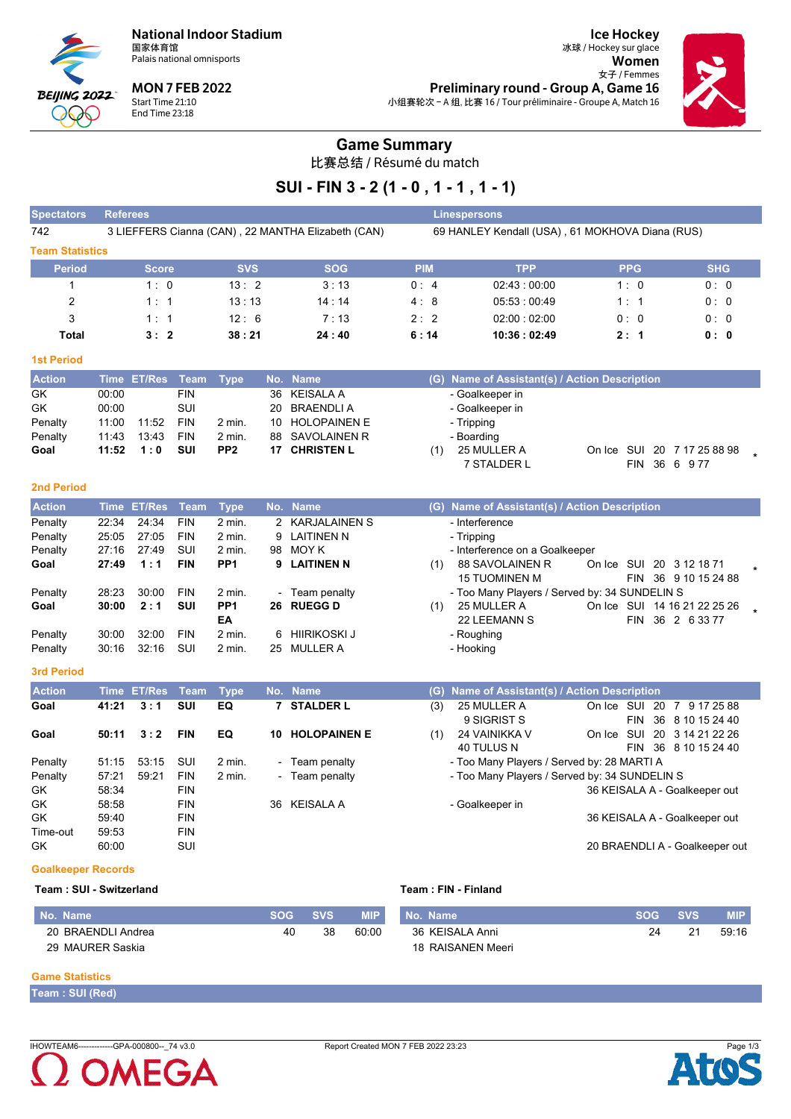**National Indoor Stadium** 国家体育馆



**MON 7 FEB 2022 BEIJING 2022** Start Time 21:10 End Time 23:18  $\infty$ 

**Ice Hockey** 冰球 / Hockey sur glace Women 女子 / Femmes Preliminary round - Group A, Game 16 小组赛轮次 - A 组, 比赛 16 / Tour préliminaire - Groupe A, Match 16



### **Game Summary**

比赛总结 / Résumé du match

## SUI - FIN 3 - 2 (1 - 0, 1 - 1, 1 - 1)

| <b>Spectators</b>      | <b>Referees</b>               |            |                                                    |            | <b>Linespersons</b>                             |            |            |
|------------------------|-------------------------------|------------|----------------------------------------------------|------------|-------------------------------------------------|------------|------------|
| 742                    |                               |            | 3 LIEFFERS Cianna (CAN), 22 MANTHA Elizabeth (CAN) |            | 69 HANLEY Kendall (USA), 61 MOKHOVA Diana (RUS) |            |            |
| <b>Team Statistics</b> |                               |            |                                                    |            |                                                 |            |            |
| <b>Period</b>          | <b>Score</b>                  | <b>SVS</b> | <b>SOG</b>                                         | <b>PIM</b> | <b>TPP</b>                                      | <b>PPG</b> | <b>SHG</b> |
|                        | 1:0                           | 13:2       | 3:13                                               | 0:4        | 02.43:00.00                                     | 1:0        | 0:0        |
| 2                      | 1:1                           | 13:13      | 14:14                                              | 4:8        | 05.53:00.49                                     | 1:1        | 0:0        |
| 3                      | 1:1                           | 12:6       | 7:13                                               | 2:2        | 02:00:02:00                                     | 0:0        | 0:0        |
| Total                  | 3:2                           | 38:21      | 24:40                                              | 6:14       | 10:36:02:49                                     | 2:1        | 0:0        |
| <b>1st Period</b>      |                               |            |                                                    |            |                                                 |            |            |
| <b>Action</b>          | <b>ET/Res</b><br>Time<br>Team | Type       | No. Name                                           | (G)        | Name of Assistant(s) / Action Description       |            |            |

| <b>Action</b> |       | Time ET/Res Team Type |            |                 | No. Name             | (G) Name of Assistant(s) / Action Description     |  |
|---------------|-------|-----------------------|------------|-----------------|----------------------|---------------------------------------------------|--|
| GK            | 00:00 |                       | <b>FIN</b> |                 | 36 KEISALA A         | - Goalkeeper in                                   |  |
| <b>GK</b>     | 00:00 |                       | SUI        |                 | 20 BRAENDLIA         | - Goalkeeper in                                   |  |
| Penalty       | 11:00 | 11:52                 | <b>FIN</b> | 2 min.          | 10 HOLOPAINEN E      | - Tripping                                        |  |
| Penalty       | 11:43 | 13:43                 | FIN        | $2$ min.        | 88 SAVOLAINEN R      | - Boarding                                        |  |
| Goal          |       | $11:52 \quad 1:0$     | suı        | PP <sub>2</sub> | <b>17 CHRISTEN L</b> | On Ice SUI 20 7 17 25 88 98<br>25 MULLER A<br>(1) |  |
|               |       |                       |            |                 |                      | 7 STALDER L<br>FIN 36 6 977                       |  |

#### 2nd Period

| <b>Action</b> |       | Time ET/Res Team |            | Type            |        | No. Name        |     | (G) Name of Assistant(s) / Action Description |                          |      |  |                              |  |
|---------------|-------|------------------|------------|-----------------|--------|-----------------|-----|-----------------------------------------------|--------------------------|------|--|------------------------------|--|
| Penalty       | 22:34 | 24:34            | <b>FIN</b> | 2 min.          |        | 2 KARJALAINEN S |     | - Interference                                |                          |      |  |                              |  |
| Penalty       | 25.05 | 27:05            | <b>FIN</b> | 2 min.          |        | 9 LAITINEN N    |     | - Tripping                                    |                          |      |  |                              |  |
| Penalty       | 27:16 | 27:49            | SUI        | 2 min.          | 98     | MOY K           |     | - Interference on a Goalkeeper                |                          |      |  |                              |  |
| Goal          | 27:49 | 1:1              | <b>FIN</b> | PP <sub>1</sub> |        | 9 LAITINEN N    | (1) | 88 SAVOLAINEN R                               | On Ice SUI 20 3 12 18 71 |      |  |                              |  |
|               |       |                  |            |                 |        |                 |     | <b>15 TUOMINEN M</b>                          |                          | FIN. |  | 36 9 10 15 24 88             |  |
| Penalty       | 28:23 | 30.00            | <b>FIN</b> | 2 min.          | $\sim$ | Team penalty    |     | - Too Many Players / Served by: 34 SUNDELIN S |                          |      |  |                              |  |
| Goal          | 30:00 | 2:1              | <b>SUI</b> | PP <sub>1</sub> | 26     | <b>RUEGG D</b>  | (1) | 25 MULLER A                                   |                          |      |  | On Ice SUI 14 16 21 22 25 26 |  |
|               |       |                  |            | EA              |        |                 |     | 22 LEEMANN S                                  |                          | FIN. |  | 36 2 6 33 77                 |  |
| Penalty       | 30:00 | 32:00            | <b>FIN</b> | 2 min.          | 6.     | HIIRIKOSKI J    |     | - Roughing                                    |                          |      |  |                              |  |
| Penalty       | 30:16 | 32:16            | SUI        | 2 min.          | 25     | MULLER A        |     | - Hooking                                     |                          |      |  |                              |  |

#### 3rd Period

| <b>Action</b> |       | Time ET/Res Team |            | <b>Type</b>       |                          | No. Name            |     | (G) Name of Assistant(s) / Action Description |            |                                                          |
|---------------|-------|------------------|------------|-------------------|--------------------------|---------------------|-----|-----------------------------------------------|------------|----------------------------------------------------------|
| Goal          | 41:21 | 3:1              | SUI        | EQ                |                          | <b>STALDER L</b>    | (3) | 25 MULLER A<br>9 SIGRIST S                    | On Ice SUI | -20<br>9 17 25 88<br>7<br>36 8 10 15 24 40<br><b>FIN</b> |
| Goal          | 50:11 | 3:2              | <b>FIN</b> | EQ                | 10                       | <b>HOLOPAINEN E</b> | (1) | 24 VAINIKKA V<br>40 TULUS N                   | On Ice SUI | 20 3 14 21 22 26<br>36 8 10 15 24 40<br><b>FIN</b>       |
| Penalty       | 51:15 | 53:15            | SUI        | $2 \text{ min}$ . | $\overline{\phantom{a}}$ | Team penalty        |     | - Too Many Players / Served by: 28 MARTI A    |            |                                                          |
| Penalty       | 57:21 | 59.21            | <b>FIN</b> | $2$ min.          |                          | - Team penalty      |     | - Too Many Players / Served by: 34 SUNDELIN S |            |                                                          |
| <b>GK</b>     | 58:34 |                  | <b>FIN</b> |                   |                          |                     |     |                                               |            | 36 KEISALA A - Goalkeeper out                            |
| <b>GK</b>     | 58:58 |                  | <b>FIN</b> |                   | 36.                      | <b>KEISALA A</b>    |     | - Goalkeeper in                               |            |                                                          |
| <b>GK</b>     | 59:40 |                  | <b>FIN</b> |                   |                          |                     |     |                                               |            | 36 KEISALA A - Goalkeeper out                            |
| Time-out      | 59.53 |                  | <b>FIN</b> |                   |                          |                     |     |                                               |            |                                                          |
| GK.           | 60:00 |                  | SUI        |                   |                          |                     |     |                                               |            | 20 BRAENDLI A - Goalkeeper out                           |

#### **Goalkeeper Records**

#### Team: SUI - Switzerland

#### Team: FIN - Finland

| No. Name           | <b>SOG</b> | <b>SVS</b> | <b>MIP</b> | No. Name          | <b>SOG</b> | <b>SVS</b> | <b>MIP</b> |
|--------------------|------------|------------|------------|-------------------|------------|------------|------------|
| 20 BRAENDLI Andrea | 40         | 38         | 60:00      | 36 KEISALA Anni   | 24         | 21         | 59:16      |
| 29 MAURER Saskia   |            |            |            | 18 RAISANEN Meeri |            |            |            |

#### **Game Statistics**

Team: SUI (Red)

IHOWTEAM6-------------GPA-000800--\_74 v3.0



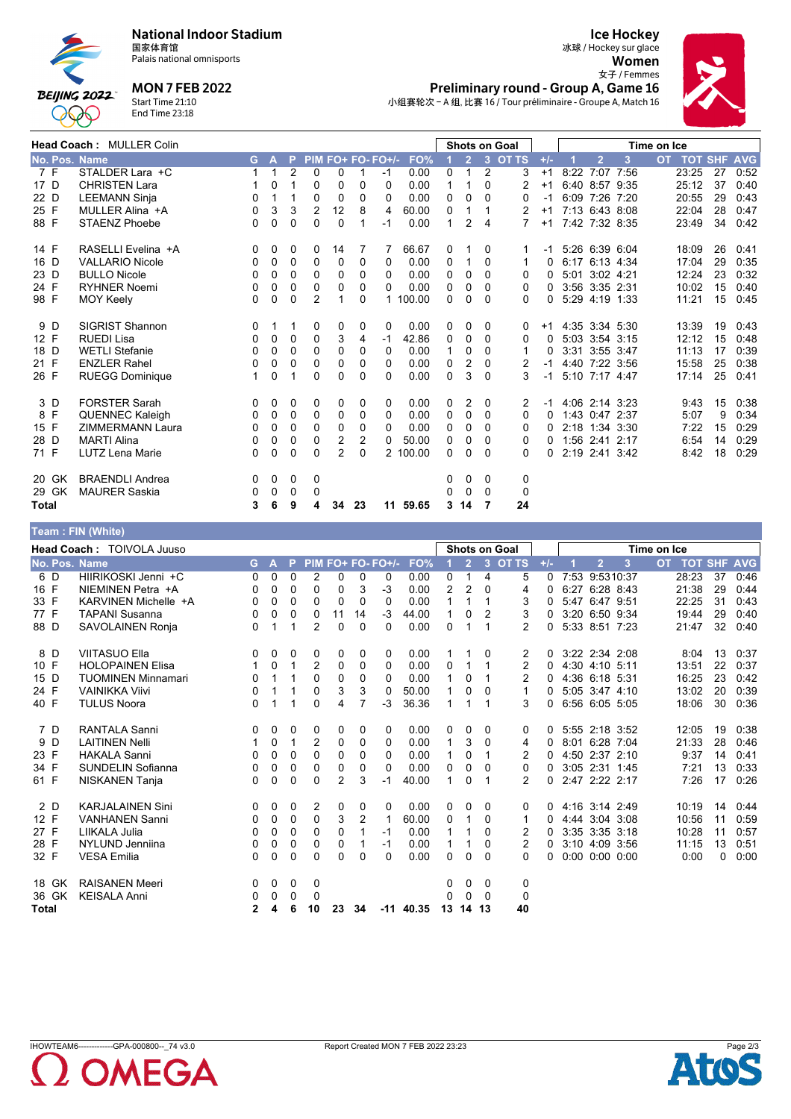



20 29 Total

## Palais national omnisports **MON 7 FEB 2022**

Start Time 21:10<br>End Time 23:18

**Ice Hockey** 冰球 / Hockey sur glace Women 女子 / Femmes Preliminary round - Group A, Game 16



小组赛轮次 - A 组, 比赛 16 / Tour préliminaire - Groupe A, Match 16

 $24$ 

|      | Head Coach: MULLER Colin |                         |    |              |                |                |                   |                |          | <b>Shots on Goal</b> |              |                |                | Time on Ice  |          |                |                |   |           |                |    |            |
|------|--------------------------|-------------------------|----|--------------|----------------|----------------|-------------------|----------------|----------|----------------------|--------------|----------------|----------------|--------------|----------|----------------|----------------|---|-----------|----------------|----|------------|
|      |                          | No. Pos. Name           | G. | A            | P.             |                | PIM FO+ FO- FO+/- |                |          | FO%                  |              | 2 <sup>7</sup> | $\overline{3}$ | <b>OT TS</b> | $+/-$    |                | $\overline{2}$ | 3 | <b>OT</b> | <b>TOT SHF</b> |    | <b>AVG</b> |
|      | 7 F                      | STALDER Lara +C         | 1. | $\mathbf{1}$ | $\overline{2}$ | 0              | $\mathbf{0}$      | 1              | $-1$     | 0.00                 | 0            | 1              | 2              | 3            | $+1$     |                | 8:22 7:07 7:56 |   |           | 23:25          | 27 | 0:52       |
| 17 D |                          | <b>CHRISTEN Lara</b>    |    | 0            |                | 0              | $\Omega$          | 0              | $\Omega$ | 0.00                 |              |                | $\Omega$       | 2            | $+1$     |                | 6:40 8:57 9:35 |   |           | 25:12          | 37 | 0:40       |
| 22 D |                          | <b>LEEMANN Sinja</b>    | 0  |              |                | $\Omega$       | $\Omega$          | 0              | 0        | 0.00                 | 0            | 0              | $\Omega$       | 0            | $-1$     |                | 6:09 7:26 7:20 |   |           | 20:55          | 29 | 0:43       |
| 25 F |                          | MULLER Alina +A         | 0  | 3            | 3              | $\overline{2}$ | 12                | 8              | 4        | 60.00                | 0            | 1              |                | 2            | $+1$     |                | 7:13 6:43 8:08 |   |           | 22:04          | 28 | 0:47       |
| 88 F |                          | <b>STAENZ Phoebe</b>    | 0  | 0            | 0              | 0              | $\Omega$          | 1              | $-1$     | 0.00                 | 1            | 2              | 4              | 7            | $+1$     |                | 7:42 7:32 8:35 |   |           | 23:49          | 34 | 0.42       |
| 14 F |                          | RASELLI Evelina +A      | 0  | 0            | 0              | 0              | 14                | 7              |          | 66.67                | 0            |                | 0              |              | -1       | 5.26 6.39 6.04 |                |   |           | 18:09          | 26 | 0:41       |
| 16 D |                          | <b>VALLARIO Nicole</b>  | 0  | 0            | $\Omega$       | $\Omega$       | $\Omega$          | 0              | $\Omega$ | 0.00                 | $\mathbf{0}$ | 1              | $\Omega$       |              | $\Omega$ |                | 6:17 6:13 4:34 |   |           | 17:04          | 29 | 0:35       |
| 23 D |                          | <b>BULLO Nicole</b>     | 0  | 0            | 0              | 0              | $\Omega$          | 0              | 0        | 0.00                 | 0            | 0              | $\Omega$       | 0            | $\Omega$ |                | 5:01 3:02 4:21 |   |           | 12:24          | 23 | 0:32       |
| 24 F |                          | <b>RYHNER Noemi</b>     | 0  | 0            | $\Omega$       | 0              | 0                 | 0              | $\Omega$ | 0.00                 | 0            | 0              | $\Omega$       | 0            | $\Omega$ |                | 3:56 3:35 2:31 |   |           | 10:02          | 15 | 0:40       |
| 98 F |                          | <b>MOY Keely</b>        | 0  | $\mathbf{0}$ | $\Omega$       | $\overline{2}$ |                   | 0              |          | 1 100.00             | 0            | 0              | $\Omega$       | 0            | 0        |                | 5:29 4:19 1:33 |   |           | 11:21          | 15 | 0:45       |
|      | 9 D                      | <b>SIGRIST Shannon</b>  | 0  |              |                | 0              | 0                 | 0              | 0        | 0.00                 | 0            | 0              | $\Omega$       | $\Omega$     | $+1$     | 4:35 3:34 5:30 |                |   |           | 13:39          | 19 | 0:43       |
| 12 F |                          | <b>RUEDI Lisa</b>       | 0  | 0            | 0              | $\Omega$       | 3                 | 4              | -1       | 42.86                | 0            | 0              | $\Omega$       | 0            | $\Omega$ |                | 5:03 3:54 3:15 |   |           | 12:12          | 15 | 0:48       |
| 18 D |                          | <b>WETLI Stefanie</b>   | 0  | 0            | $\Omega$       | 0              | 0                 | 0              | $\Omega$ | 0.00                 |              | 0              | $\Omega$       | 1            | 0        |                | 3:31 3:55 3:47 |   |           | 11:13          | 17 | 0:39       |
| 21 F |                          | <b>ENZLER Rahel</b>     | 0  | 0            | 0              | 0              | $\Omega$          | 0              | 0        | 0.00                 | $\mathbf{0}$ | 2              | $\mathbf{0}$   | 2            | $-1$     |                | 4:40 7:22 3:56 |   |           | 15:58          | 25 | 0:38       |
| 26 F |                          | <b>RUEGG Dominique</b>  |    | $\mathbf{0}$ |                | $\Omega$       | $\Omega$          | 0              | $\Omega$ | 0.00                 | $\Omega$     | 3              | $\Omega$       | 3            | $-1$     |                | 5:10 7:17 4:47 |   |           | 17:14          | 25 | 0:41       |
|      | 3 D                      | <b>FORSTER Sarah</b>    | 0  | 0            | 0              | 0              | 0                 | 0              | 0        | 0.00                 | 0            | 2              | $\Omega$       | 2            | -1       |                | 4:06 2:14 3:23 |   |           | 9:43           | 15 | 0:38       |
|      | 8 F                      | <b>QUENNEC Kaleigh</b>  | 0  | 0            | $\Omega$       | 0              | $\Omega$          | 0              | $\Omega$ | 0.00                 | $\mathbf{0}$ | $\mathbf{0}$   | $\Omega$       | 0            | 0        |                | 1.43 0.47 2:37 |   |           | 5:07           | 9  | 0:34       |
| 15 F |                          | <b>ZIMMERMANN Laura</b> | 0  | 0            | $\Omega$       | 0              | $\Omega$          | 0              | $\Omega$ | 0.00                 | 0            | 0              | $\Omega$       | 0            | 0        |                | 2.18 1:34 3:30 |   |           | 7:22           | 15 | 0:29       |
| 28 D |                          | <b>MARTI Alina</b>      | 0  | 0            | 0              | 0              | $\overline{2}$    | $\overline{2}$ | 0        | 50.00                | 0            | 0              | $\mathbf{0}$   | 0            | $\Omega$ |                | 1:56 2:41 2:17 |   |           | 6:54           | 14 | 0:29       |
| 71 F |                          | LUTZ Lena Marie         | 0  | 0            | 0              | 0              | 2                 | 0              |          | 2 100.00             | 0            | 0              | $\Omega$       | 0            | 0        |                | 2:19 2:41 3:42 |   |           | 8:42           | 18 | 0:29       |
|      | 20 GK                    | <b>BRAENDLI Andrea</b>  | 0  | 0            | 0              | 0              |                   |                |          |                      | 0            | 0              | 0              | 0            |          |                |                |   |           |                |    |            |
|      | 29 GK                    | <b>MAURER Saskia</b>    | 0  | $\Omega$     | $\Omega$       | $\Omega$       |                   |                |          |                      | 0            | $\mathbf{0}$   | $\Omega$       | $\Omega$     |          |                |                |   |           |                |    |            |

11 59.65 3 14 7

|               | <b>Feam:FIN (White)</b>   |          |              |             |                |                |                |                   |             |              |                |          |                      |          |                      |   |             |                |    |            |
|---------------|---------------------------|----------|--------------|-------------|----------------|----------------|----------------|-------------------|-------------|--------------|----------------|----------|----------------------|----------|----------------------|---|-------------|----------------|----|------------|
|               | Head Coach: TOIVOLA Juuso |          |              |             |                |                |                |                   |             |              |                |          | <b>Shots on Goal</b> |          |                      |   | Time on Ice |                |    |            |
| No. Pos. Name |                           | G.       | A            | P           |                |                |                | PIM FO+ FO- FO+/- | FO%         |              | $\overline{2}$ | 3        | <b>OT TS</b>         | $+/-$    | $\overline{2}$       | 3 | <b>OT</b>   | <b>TOT SHF</b> |    | <b>AVG</b> |
| 6 D           | HIIRIKOSKI Jenni +C       | 0        | $\mathbf{0}$ | $\Omega$    | 2              | 0              | 0              | 0                 | 0.00        | 0            | $\mathbf{1}$   | 4        | 5                    | $\Omega$ | 7:53 9:5310:37       |   |             | 28:23          | 37 | 0:46       |
| 16 F          | NIEMINEN Petra +A         | 0        | 0            | $\Omega$    | $\Omega$       | $\Omega$       | 3              | -3                | 0.00        | 2            | $\overline{2}$ | $\Omega$ | 4                    | 0        | 6:27 6:28 8:43       |   |             | 21:38          | 29 | 0:44       |
| 33 F          | KARVINEN Michelle +A      | 0        | 0            | 0           | $\Omega$       | $\Omega$       | 0              | 0                 | 0.00        | 1            | 1              |          | 3                    | 0        | 5:47 6:47 9:51       |   |             | 22:25          | 31 | 0:43       |
| 77 F          | <b>TAPANI Susanna</b>     | 0        | 0            | $\Omega$    | $\Omega$       | 11             | 14             | $-3$              | 44.00       |              | $\Omega$       | 2        | 3                    | 0        | 3:20 6:50 9:34       |   |             | 19:44          | 29 | 0:40       |
| 88 D          | SAVOLAINEN Ronja          | 0        | 1            | 1           | $\overline{2}$ | $\Omega$       | $\Omega$       | $\Omega$          | 0.00        | 0            | $\mathbf{1}$   | 1        | $\overline{2}$       | 0        | 5:33 8:51 7:23       |   |             | 21:47          | 32 | 0:40       |
| 8 D           | <b>VIITASUO Ella</b>      | 0        | 0            | 0           | 0              | 0              | 0              | 0                 | 0.00        |              | 1              | $\Omega$ | 2                    | $\Omega$ | 3:22 2:34 2:08       |   |             | 8:04           | 13 | 0:37       |
| 10 F          | <b>HOLOPAINEN Elisa</b>   | 1        | 0            | 1           | 2              | 0              | 0              | 0                 | 0.00        | 0            | $\mathbf{1}$   | 1        | 2                    | 0        | 4:30 4:10 5:11       |   |             | 13:51          | 22 | 0:37       |
| 15 D          | <b>TUOMINEN Minnamari</b> | 0        |              |             | 0              | $\Omega$       | 0              | 0                 | 0.00        |              | 0              |          | 2                    | 0        | 4:36 6:18 5:31       |   |             | 16:25          | 23 | 0:42       |
| 24 F          | <b>VAINIKKA Viivi</b>     | $\Omega$ |              |             | $\Omega$       | 3              | 3              | 0                 | 50.00       | $\mathbf{1}$ | 0              | 0        | $\mathbf{1}$         | 0        | 5:05 3:47 4:10       |   |             | 13:02          | 20 | 0:39       |
| 40 F          | <b>TULUS Noora</b>        | 0        |              | 1           | $\Omega$       | 4              | $\overline{7}$ | -3                | 36.36       | 1            | 1              | 1        | 3                    | 0        | 6:56 6:05 5:05       |   |             | 18:06          | 30 | 0:36       |
| 7 D           | <b>RANTALA Sanni</b>      | 0        | 0            | 0           | 0              | 0              | 0              | 0                 | 0.00        | 0            | 0              | 0        | 0                    | 0        | 5:55 2:18 3:52       |   |             | 12:05          | 19 | 0:38       |
| 9 D           | <b>LAITINEN Nelli</b>     |          | 0            | $\mathbf 1$ | 2              | $\mathbf{0}$   | $\Omega$       | $\mathbf{0}$      | 0.00        | $\mathbf{1}$ | 3              | $\Omega$ | 4                    | 0        | 8:01 6:28 7:04       |   |             | 21:33          | 28 | 0:46       |
| 23 F          | <b>HAKALA Sanni</b>       | 0        | 0            | $\Omega$    | $\Omega$       | $\Omega$       | 0              | $\Omega$          | 0.00        |              | 0              |          | 2                    | 0        | 4:50 2:37 2:10       |   |             | 9:37           | 14 | 0:41       |
| 34 F          | <b>SUNDELIN Sofianna</b>  | 0        | 0            | 0           | $\Omega$       | 0              | 0              | 0                 | 0.00        | 0            | 0              | 0        | 0                    | 0        | 3:05 2:31 1:45       |   |             | 7:21           | 13 | 0:33       |
| 61 F          | NISKANEN Tanja            | 0        | 0            | 0           | $\Omega$       | $\overline{2}$ | 3              | -1                | 40.00       | 1            | 0              | 1        | $\overline{2}$       | 0        | 2:47 2:22 2:17       |   |             | 7:26           | 17 | 0:26       |
| 2 D           | <b>KARJALAINEN Sini</b>   | 0        | $\mathbf{0}$ | 0           | 2              | 0              | 0              | 0                 | 0.00        | 0            | 0              | $\Omega$ | 0                    | 0        | 4:16 3:14 2:49       |   |             | 10:19          | 14 | 0:44       |
| 12 F          | <b>VANHANEN Sanni</b>     | 0        | 0            | 0           | $\Omega$       | 3              | $\overline{2}$ | $\mathbf 1$       | 60.00       | 0            | 1              | 0        | 1                    | 0        | 4:44 3:04 3:08       |   |             | 10:56          | 11 | 0:59       |
| 27 F          | LIIKALA Julia             | 0        | 0            | 0           | $\Omega$       | $\mathbf{0}$   | 1              | $-1$              | 0.00        | 1            | 1              | $\Omega$ | 2                    | 0        | 3:35 3:35 3:18       |   |             | 10:28          | 11 | 0:57       |
| 28 F          | NYLUND Jenniina           | 0        | 0            | 0           | $\Omega$       | $\Omega$       | 1              | $-1$              | 0.00        |              |                | 0        | $\overline{2}$       | 0        | 3:10 4:09 3:56       |   |             | 11:15          | 13 | 0:51       |
| 32 F          | <b>VESA Emilia</b>        | 0        | 0            | 0           | 0              | 0              | 0              | $\Omega$          | 0.00        | 0            | 0              | $\Omega$ | $\Omega$             | 0        | $0:00$ $0:00$ $0:00$ |   |             | 0:00           | 0  | 0:00       |
| 18 GK         | <b>RAISANEN Meeri</b>     | 0        | 0            | 0           | 0              |                |                |                   |             | 0            | 0              | 0        | 0                    |          |                      |   |             |                |    |            |
| 36 GK         | <b>KEISALA Anni</b>       | 0        | $\mathbf{0}$ | $\Omega$    | 0              |                |                |                   |             | 0            | 0              | $\Omega$ | 0                    |          |                      |   |             |                |    |            |
| <b>Total</b>  |                           | 2        | 4            | 6           | 10             | 23             | 34             |                   | $-11$ 40.35 | 13           | 14 13          |          | 40                   |          |                      |   |             |                |    |            |

3 6 9 4 34 23

IHOWTEAM6-------------GPA-000800--\_74 v3.0  $\big($ 2 OMEGA